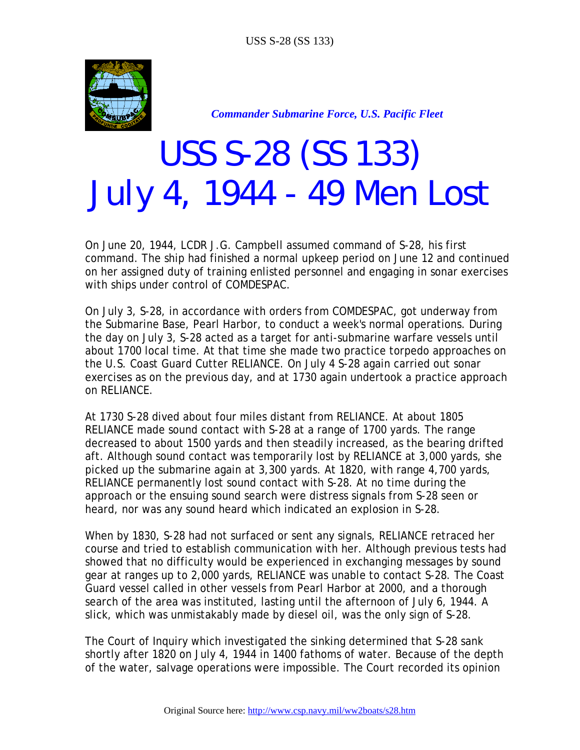

*Commander Submarine Force, U.S. Pacific Fleet* 

## *USS S-28 (SS 133) July 4, 1944 - 49 Men Lost*

On June 20, 1944, LCDR J.G. Campbell assumed command of S-28, his first command. The ship had finished a normal upkeep period on June 12 and continued on her assigned duty of training enlisted personnel and engaging in sonar exercises with ships under control of COMDESPAC.

On July 3, S-28, in accordance with orders from COMDESPAC, got underway from the Submarine Base, Pearl Harbor, to conduct a week's normal operations. During the day on July 3, S-28 acted as a target for anti-submarine warfare vessels until about 1700 local time. At that time she made two practice torpedo approaches on the U.S. Coast Guard Cutter RELIANCE. On July 4 S-28 again carried out sonar exercises as on the previous day, and at 1730 again undertook a practice approach on RELIANCE.

At 1730 S-28 dived about four miles distant from RELIANCE. At about 1805 RELIANCE made sound contact with S-28 at a range of 1700 yards. The range decreased to about 1500 yards and then steadily increased, as the bearing drifted aft. Although sound contact was temporarily lost by RELIANCE at 3,000 yards, she picked up the submarine again at 3,300 yards. At 1820, with range 4,700 yards, RELIANCE permanently lost sound contact with S-28. At no time during the approach or the ensuing sound search were distress signals from S-28 seen or heard, nor was any sound heard which indicated an explosion in S-28.

When by 1830, S-28 had not surfaced or sent any signals, RELIANCE retraced her course and tried to establish communication with her. Although previous tests had showed that no difficulty would be experienced in exchanging messages by sound gear at ranges up to 2,000 yards, RELIANCE was unable to contact S-28. The Coast Guard vessel called in other vessels from Pearl Harbor at 2000, and a thorough search of the area was instituted, lasting until the afternoon of July 6, 1944. A slick, which was unmistakably made by diesel oil, was the only sign of S-28.

The Court of Inquiry which investigated the sinking determined that S-28 sank shortly after 1820 on July 4, 1944 in 1400 fathoms of water. Because of the depth of the water, salvage operations were impossible. The Court recorded its opinion